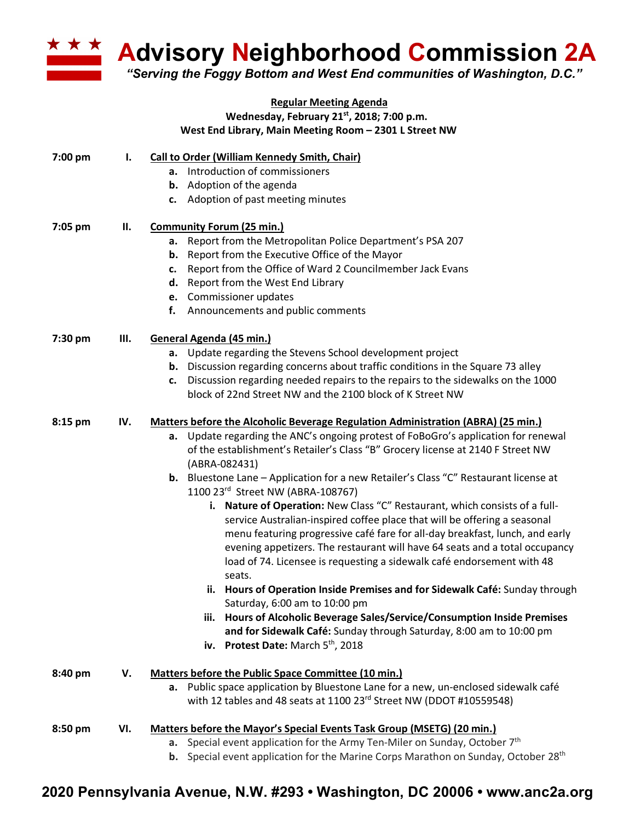

**Advisory Neighborhood Commission 2A** 

*"Serving the Foggy Bottom and West End communities of Washington, D.C."*

## **Regular Meeting Agenda Wednesday, February 21st, 2018; 7:00 p.m. West End Library, Main Meeting Room – 2301 L Street NW**

| 7:00 pm | $\mathbf{l}$ . | <b>Call to Order (William Kennedy Smith, Chair)</b><br>a. Introduction of commissioners<br><b>b.</b> Adoption of the agenda                               |
|---------|----------------|-----------------------------------------------------------------------------------------------------------------------------------------------------------|
| 7:05 pm | П.             | c. Adoption of past meeting minutes<br><b>Community Forum (25 min.)</b>                                                                                   |
|         |                | a. Report from the Metropolitan Police Department's PSA 207                                                                                               |
|         |                | <b>b.</b> Report from the Executive Office of the Mayor                                                                                                   |
|         |                | c. Report from the Office of Ward 2 Councilmember Jack Evans                                                                                              |
|         |                | d. Report from the West End Library                                                                                                                       |
|         |                | e. Commissioner updates                                                                                                                                   |
|         |                | Announcements and public comments<br>f.                                                                                                                   |
| 7:30 pm | Ш.             | General Agenda (45 min.)                                                                                                                                  |
|         |                | a. Update regarding the Stevens School development project                                                                                                |
|         |                | b. Discussion regarding concerns about traffic conditions in the Square 73 alley                                                                          |
|         |                | c. Discussion regarding needed repairs to the repairs to the sidewalks on the 1000                                                                        |
|         |                | block of 22nd Street NW and the 2100 block of K Street NW                                                                                                 |
| 8:15 pm | IV.            | <b>Matters before the Alcoholic Beverage Regulation Administration (ABRA) (25 min.)</b>                                                                   |
|         |                | a. Update regarding the ANC's ongoing protest of FoBoGro's application for renewal                                                                        |
|         |                | of the establishment's Retailer's Class "B" Grocery license at 2140 F Street NW                                                                           |
|         |                | (ABRA-082431)                                                                                                                                             |
|         |                | <b>b.</b> Bluestone Lane – Application for a new Retailer's Class "C" Restaurant license at                                                               |
|         |                | 1100 23rd Street NW (ABRA-108767)                                                                                                                         |
|         |                | i. Nature of Operation: New Class "C" Restaurant, which consists of a full-                                                                               |
|         |                | service Australian-inspired coffee place that will be offering a seasonal                                                                                 |
|         |                | menu featuring progressive café fare for all-day breakfast, lunch, and early                                                                              |
|         |                | evening appetizers. The restaurant will have 64 seats and a total occupancy                                                                               |
|         |                | load of 74. Licensee is requesting a sidewalk café endorsement with 48                                                                                    |
|         |                | seats.                                                                                                                                                    |
|         |                | ii. Hours of Operation Inside Premises and for Sidewalk Café: Sunday through                                                                              |
|         |                | Saturday, 6:00 am to 10:00 pm<br>iii. Hours of Alcoholic Beverage Sales/Service/Consumption Inside Premises                                               |
|         |                | and for Sidewalk Café: Sunday through Saturday, 8:00 am to 10:00 pm                                                                                       |
|         |                | iv. Protest Date: March 5th, 2018                                                                                                                         |
|         |                |                                                                                                                                                           |
| 8:40 pm | v.             | <b>Matters before the Public Space Committee (10 min.)</b>                                                                                                |
|         |                | a. Public space application by Bluestone Lane for a new, un-enclosed sidewalk café<br>with 12 tables and 48 seats at 1100 23rd Street NW (DDOT #10559548) |
|         |                |                                                                                                                                                           |
| 8:50 pm | VI.            | Matters before the Mayor's Special Events Task Group (MSETG) (20 min.)                                                                                    |
|         |                | Special event application for the Army Ten-Miler on Sunday, October 7 <sup>th</sup><br>а.                                                                 |
|         |                | <b>b.</b> Special event application for the Marine Corps Marathon on Sunday, October 28 <sup>th</sup>                                                     |